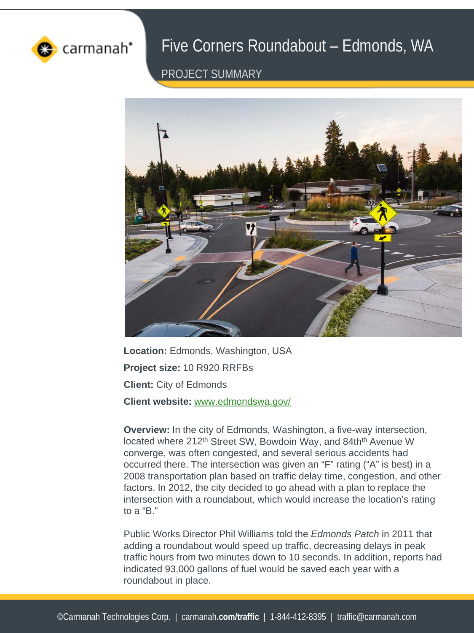

## Five Corners Roundabout – Edmonds, WA

PROJECT SUMMARY



Location: Edmonds, Washington, USA **Project size:** 10 R920 RRFBs **Client:** City of Edmonds **Client website:** [www.edmondswa.gov/](http://www.edmondswa.gov/)

**Overview:** In the city of Edmonds, Washington, a five-way intersection, located where 212<sup>th</sup> Street SW, Bowdoin Way, and 84th<sup>th</sup> Avenue W converge, was often congested, and several serious accidents had occurred there. The intersection was given an "F" rating ("A" is best) in a 2008 transportation plan based on traffic delay time, congestion, and other factors. In 2012, the city decided to go ahead with a plan to replace the intersection with a roundabout, which would increase the location's rating to a "B."

Public Works Director Phil Williams told the *Edmonds Patch* in 2011 that adding a roundabout would speed up traffic, decreasing delays in peak traffic hours from two minutes down to 10 seconds. In addition, reports had indicated 93,000 gallons of fuel would be saved each year with a roundabout in place.